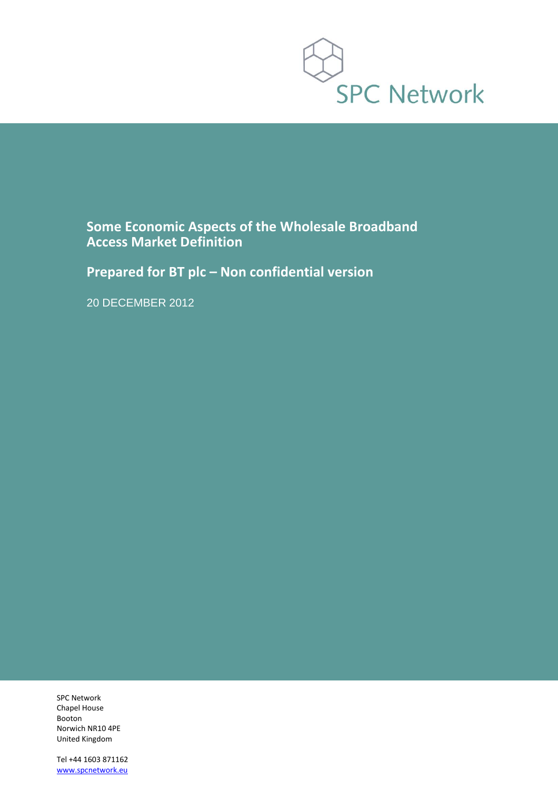

# **Some Economic Aspects of the Wholesale Broadband Access Market Definition**

**Prepared for BT plc – Non confidential version**

20 DECEMBER 2012

SPC Network Chapel House Booton Norwich NR10 4PE United Kingdom

Tel +44 1603 871162 [www.spcnetwork.eu](http://www.spcnetwork.eu/)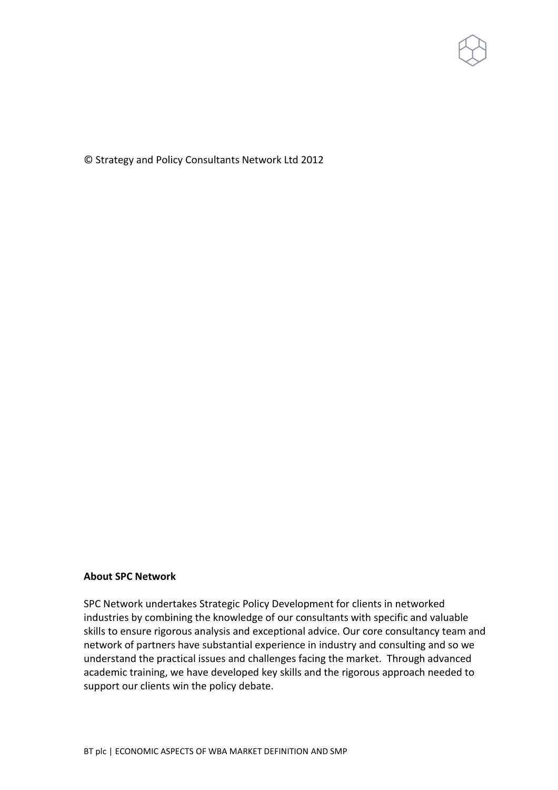

© Strategy and Policy Consultants Network Ltd 2012

#### **About SPC Network**

SPC Network undertakes Strategic Policy Development for clients in networked industries by combining the knowledge of our consultants with specific and valuable skills to ensure rigorous analysis and exceptional advice. Our core consultancy team and network of partners have substantial experience in industry and consulting and so we understand the practical issues and challenges facing the market. Through advanced academic training, we have developed key skills and the rigorous approach needed to support our clients win the policy debate.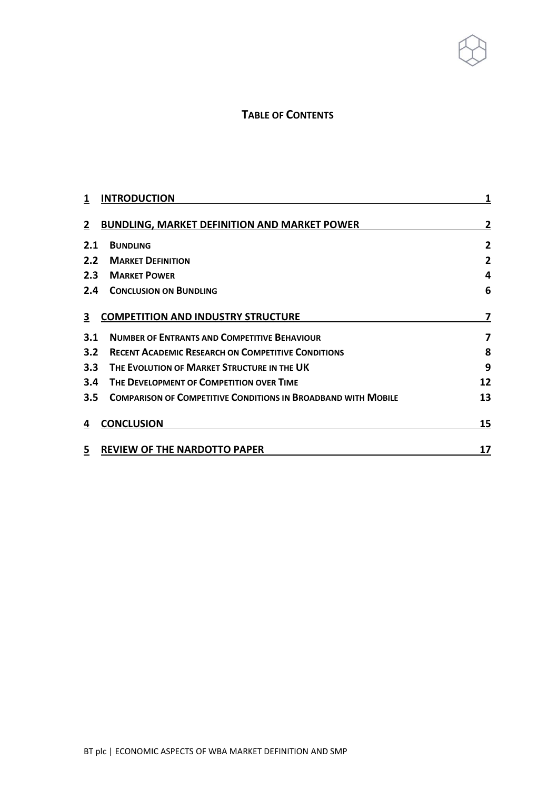# **TABLE OF CONTENTS**

| 1            | <b>INTRODUCTION</b>                                                  | 1              |
|--------------|----------------------------------------------------------------------|----------------|
| $\mathbf{2}$ | <b>BUNDLING, MARKET DEFINITION AND MARKET POWER</b>                  | $\overline{2}$ |
| 2.1          | <b>BUNDLING</b>                                                      | $\overline{2}$ |
| 2.2          | <b>MARKET DEFINITION</b>                                             | $\overline{2}$ |
| 2.3          | <b>MARKET POWER</b>                                                  | 4              |
| 2.4          | <b>CONCLUSION ON BUNDLING</b>                                        | 6              |
| 3            | <b>COMPETITION AND INDUSTRY STRUCTURE</b>                            | 7              |
| 3.1          | <b>NUMBER OF ENTRANTS AND COMPETITIVE BEHAVIOUR</b>                  | 7              |
| 3.2          | <b>RECENT ACADEMIC RESEARCH ON COMPETITIVE CONDITIONS</b>            | 8              |
| 3.3          | THE EVOLUTION OF MARKET STRUCTURE IN THE UK                          | 9              |
| 3.4          | THE DEVELOPMENT OF COMPETITION OVER TIME                             | 12             |
| 3.5          | <b>COMPARISON OF COMPETITIVE CONDITIONS IN BROADBAND WITH MOBILE</b> | 13             |
| 4            | <b>CONCLUSION</b>                                                    | 15             |
| 5            | <b>REVIEW OF THE NARDOTTO PAPER</b>                                  | 17             |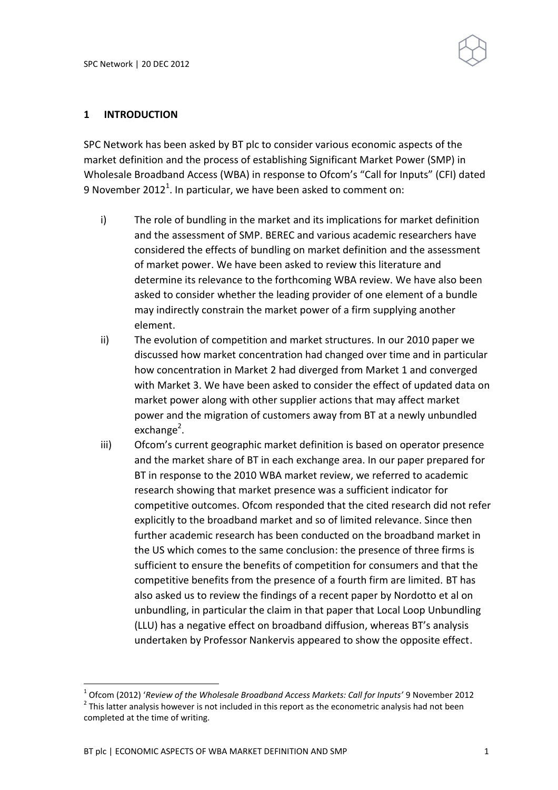### **1 INTRODUCTION**

SPC Network has been asked by BT plc to consider various economic aspects of the market definition and the process of establishing Significant Market Power (SMP) in Wholesale Broadband Access (WBA) in response to Ofcom's "Call for Inputs" (CFI) dated 9 November 2012<sup>1</sup>. In particular, we have been asked to comment on:

- i) The role of bundling in the market and its implications for market definition and the assessment of SMP. BEREC and various academic researchers have considered the effects of bundling on market definition and the assessment of market power. We have been asked to review this literature and determine its relevance to the forthcoming WBA review. We have also been asked to consider whether the leading provider of one element of a bundle may indirectly constrain the market power of a firm supplying another element.
- ii) The evolution of competition and market structures. In our 2010 paper we discussed how market concentration had changed over time and in particular how concentration in Market 2 had diverged from Market 1 and converged with Market 3. We have been asked to consider the effect of updated data on market power along with other supplier actions that may affect market power and the migration of customers away from BT at a newly unbundled exchange<sup>2</sup>.
- iii) Ofcom's current geographic market definition is based on operator presence and the market share of BT in each exchange area. In our paper prepared for BT in response to the 2010 WBA market review, we referred to academic research showing that market presence was a sufficient indicator for competitive outcomes. Ofcom responded that the cited research did not refer explicitly to the broadband market and so of limited relevance. Since then further academic research has been conducted on the broadband market in the US which comes to the same conclusion: the presence of three firms is sufficient to ensure the benefits of competition for consumers and that the competitive benefits from the presence of a fourth firm are limited. BT has also asked us to review the findings of a recent paper by Nordotto et al on unbundling, in particular the claim in that paper that Local Loop Unbundling (LLU) has a negative effect on broadband diffusion, whereas BT's analysis undertaken by Professor Nankervis appeared to show the opposite effect.

<sup>1</sup> Ofcom (2012) '*Review of the Wholesale Broadband Access Markets: Call for Inputs'* 9 November 2012  $2$  This latter analysis however is not included in this report as the econometric analysis had not been completed at the time of writing.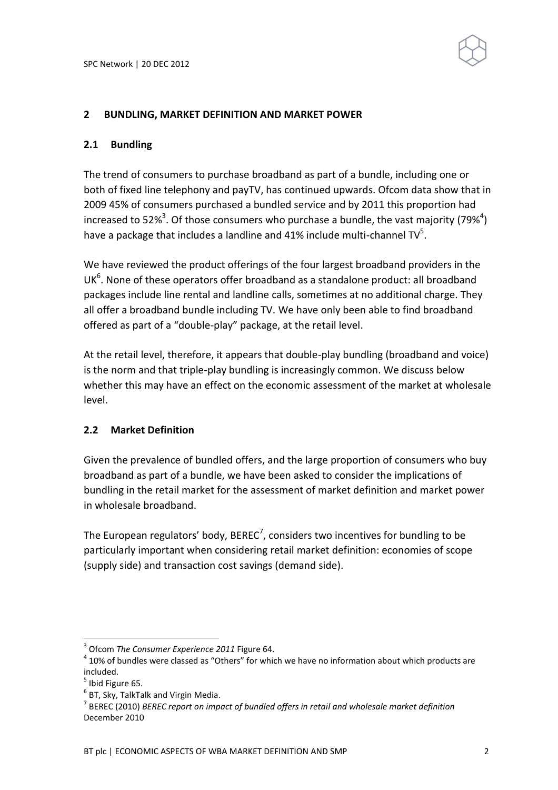

### **2 BUNDLING, MARKET DEFINITION AND MARKET POWER**

#### **2.1 Bundling**

The trend of consumers to purchase broadband as part of a bundle, including one or both of fixed line telephony and payTV, has continued upwards. Ofcom data show that in 2009 45% of consumers purchased a bundled service and by 2011 this proportion had increased to 52%<sup>3</sup>. Of those consumers who purchase a bundle, the vast majority (79%<sup>4</sup>) have a package that includes a landline and 41% include multi-channel TV $^5$ .

We have reviewed the product offerings of the four largest broadband providers in the UK $^6$ . None of these operators offer broadband as a standalone product: all broadband packages include line rental and landline calls, sometimes at no additional charge. They all offer a broadband bundle including TV. We have only been able to find broadband offered as part of a "double-play" package, at the retail level.

At the retail level, therefore, it appears that double-play bundling (broadband and voice) is the norm and that triple-play bundling is increasingly common. We discuss below whether this may have an effect on the economic assessment of the market at wholesale level.

### **2.2 Market Definition**

Given the prevalence of bundled offers, and the large proportion of consumers who buy broadband as part of a bundle, we have been asked to consider the implications of bundling in the retail market for the assessment of market definition and market power in wholesale broadband.

The European regulators' body, BEREC<sup>7</sup>, considers two incentives for bundling to be particularly important when considering retail market definition: economies of scope (supply side) and transaction cost savings (demand side).

<sup>3</sup> Ofcom *The Consumer Experience 2011* Figure 64.

 $^{4}$  10% of bundles were classed as "Others" for which we have no information about which products are included.

<sup>&</sup>lt;sup>5</sup> Ibid Figure 65.

 $^6$  BT, Sky, TalkTalk and Virgin Media.

<sup>7</sup> BEREC (2010) *BEREC report on impact of bundled offers in retail and wholesale market definition* December 2010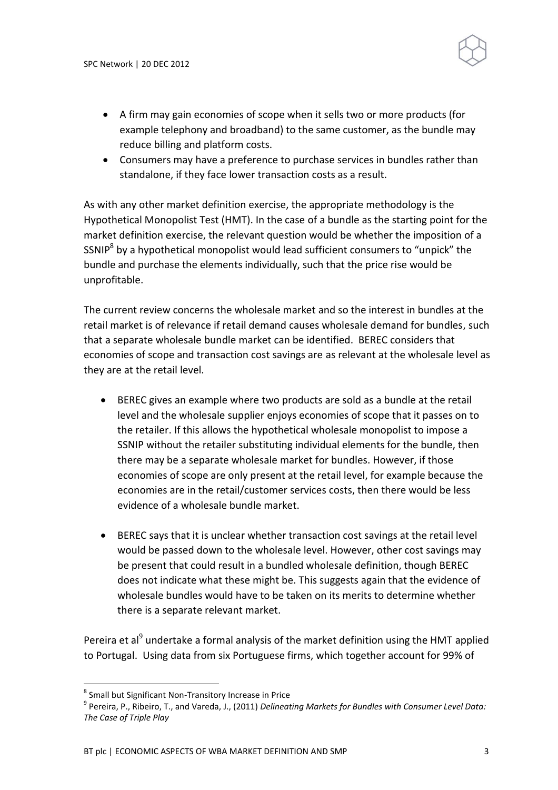

- A firm may gain economies of scope when it sells two or more products (for example telephony and broadband) to the same customer, as the bundle may reduce billing and platform costs.
- Consumers may have a preference to purchase services in bundles rather than standalone, if they face lower transaction costs as a result.

As with any other market definition exercise, the appropriate methodology is the Hypothetical Monopolist Test (HMT). In the case of a bundle as the starting point for the market definition exercise, the relevant question would be whether the imposition of a SSNIP<sup>8</sup> by a hypothetical monopolist would lead sufficient consumers to "unpick" the bundle and purchase the elements individually, such that the price rise would be unprofitable.

The current review concerns the wholesale market and so the interest in bundles at the retail market is of relevance if retail demand causes wholesale demand for bundles, such that a separate wholesale bundle market can be identified. BEREC considers that economies of scope and transaction cost savings are as relevant at the wholesale level as they are at the retail level.

- BEREC gives an example where two products are sold as a bundle at the retail level and the wholesale supplier enjoys economies of scope that it passes on to the retailer. If this allows the hypothetical wholesale monopolist to impose a SSNIP without the retailer substituting individual elements for the bundle, then there may be a separate wholesale market for bundles. However, if those economies of scope are only present at the retail level, for example because the economies are in the retail/customer services costs, then there would be less evidence of a wholesale bundle market.
- BEREC says that it is unclear whether transaction cost savings at the retail level would be passed down to the wholesale level. However, other cost savings may be present that could result in a bundled wholesale definition, though BEREC does not indicate what these might be. This suggests again that the evidence of wholesale bundles would have to be taken on its merits to determine whether there is a separate relevant market.

Pereira et al<sup>9</sup> undertake a formal analysis of the market definition using the HMT applied to Portugal. Using data from six Portuguese firms, which together account for 99% of

<sup>&</sup>lt;sup>8</sup> Small but Significant Non-Transitory Increase in Price

<sup>9</sup> Pereira, P., Ribeiro, T., and Vareda, J., (2011) *Delineating Markets for Bundles with Consumer Level Data: The Case of Triple Play*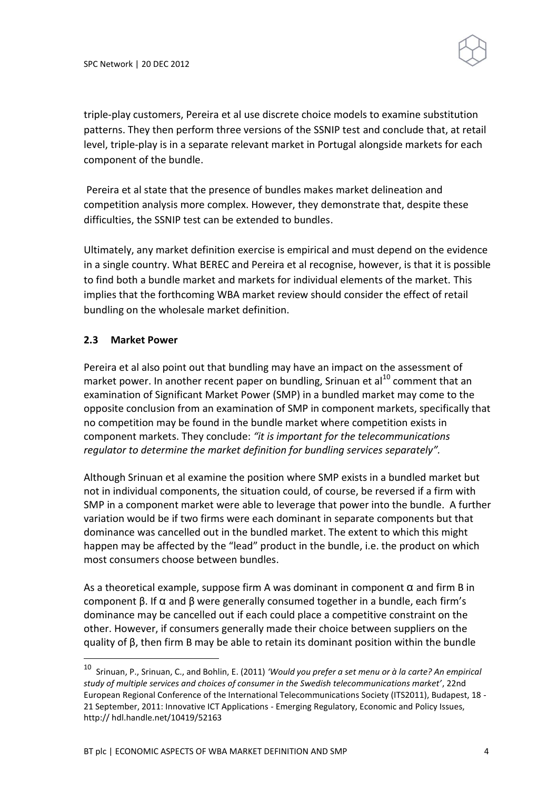

triple-play customers, Pereira et al use discrete choice models to examine substitution patterns. They then perform three versions of the SSNIP test and conclude that, at retail level, triple-play is in a separate relevant market in Portugal alongside markets for each component of the bundle.

Pereira et al state that the presence of bundles makes market delineation and competition analysis more complex. However, they demonstrate that, despite these difficulties, the SSNIP test can be extended to bundles.

Ultimately, any market definition exercise is empirical and must depend on the evidence in a single country. What BEREC and Pereira et al recognise, however, is that it is possible to find both a bundle market and markets for individual elements of the market. This implies that the forthcoming WBA market review should consider the effect of retail bundling on the wholesale market definition.

### **2.3 Market Power**

 $\overline{a}$ 

Pereira et al also point out that bundling may have an impact on the assessment of market power. In another recent paper on bundling, Srinuan et al $^{10}$  comment that an examination of Significant Market Power (SMP) in a bundled market may come to the opposite conclusion from an examination of SMP in component markets, specifically that no competition may be found in the bundle market where competition exists in component markets. They conclude: *"it is important for the telecommunications regulator to determine the market definition for bundling services separately".*

Although Srinuan et al examine the position where SMP exists in a bundled market but not in individual components, the situation could, of course, be reversed if a firm with SMP in a component market were able to leverage that power into the bundle. A further variation would be if two firms were each dominant in separate components but that dominance was cancelled out in the bundled market. The extent to which this might happen may be affected by the "lead" product in the bundle, i.e. the product on which most consumers choose between bundles.

As a theoretical example, suppose firm A was dominant in component  $\alpha$  and firm B in component β. If α and β were generally consumed together in a bundle, each firm's dominance may be cancelled out if each could place a competitive constraint on the other. However, if consumers generally made their choice between suppliers on the quality of β, then firm B may be able to retain its dominant position within the bundle

<sup>10</sup> Srinuan, P., Srinuan, C., and Bohlin, E. (2011) *'Would you prefer a set menu or à la carte? An empirical study of multiple services and choices of consumer in the Swedish telecommunications market'*, 22nd European Regional Conference of the International Telecommunications Society (ITS2011), Budapest, 18 - 21 September, 2011: Innovative ICT Applications - Emerging Regulatory, Economic and Policy Issues, http:// hdl.handle.net/10419/52163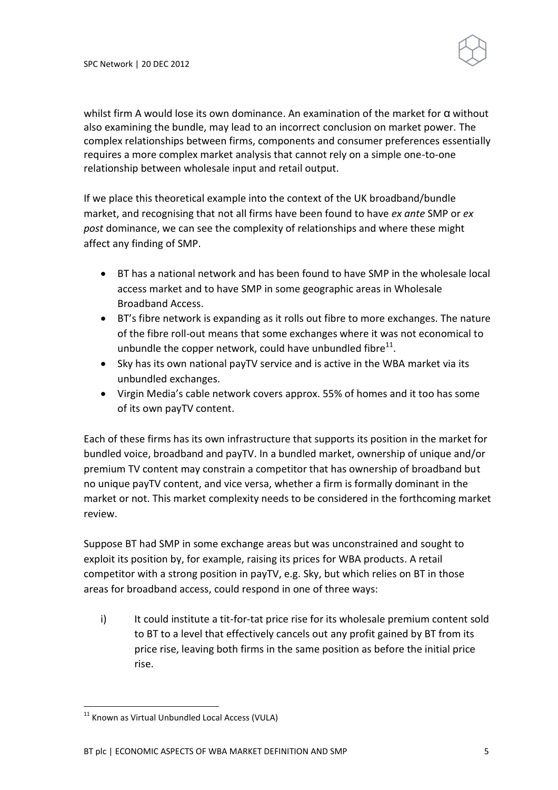

whilst firm A would lose its own dominance. An examination of the market for α without also examining the bundle, may lead to an incorrect conclusion on market power. The complex relationships between firms, components and consumer preferences essentially requires a more complex market analysis that cannot rely on a simple one-to-one relationship between wholesale input and retail output.

If we place this theoretical example into the context of the UK broadband/bundle market, and recognising that not all firms have been found to have *ex ante* SMP or *ex post* dominance, we can see the complexity of relationships and where these might affect any finding of SMP.

- BT has a national network and has been found to have SMP in the wholesale local access market and to have SMP in some geographic areas in Wholesale Broadband Access.
- BT's fibre network is expanding as it rolls out fibre to more exchanges. The nature of the fibre roll-out means that some exchanges where it was not economical to unbundle the copper network, could have unbundled fibre $^{11}$ .
- Sky has its own national payTV service and is active in the WBA market via its unbundled exchanges.
- Virgin Media's cable network covers approx. 55% of homes and it too has some of its own payTV content.

Each of these firms has its own infrastructure that supports its position in the market for bundled voice, broadband and payTV. In a bundled market, ownership of unique and/or premium TV content may constrain a competitor that has ownership of broadband but no unique payTV content, and vice versa, whether a firm is formally dominant in the market or not. This market complexity needs to be considered in the forthcoming market review.

Suppose BT had SMP in some exchange areas but was unconstrained and sought to exploit its position by, for example, raising its prices for WBA products. A retail competitor with a strong position in payTV, e.g. Sky, but which relies on BT in those areas for broadband access, could respond in one of three ways:

i) It could institute a tit-for-tat price rise for its wholesale premium content sold to BT to a level that effectively cancels out any profit gained by BT from its price rise, leaving both firms in the same position as before the initial price rise.

l  $11$  Known as Virtual Unbundled Local Access (VULA)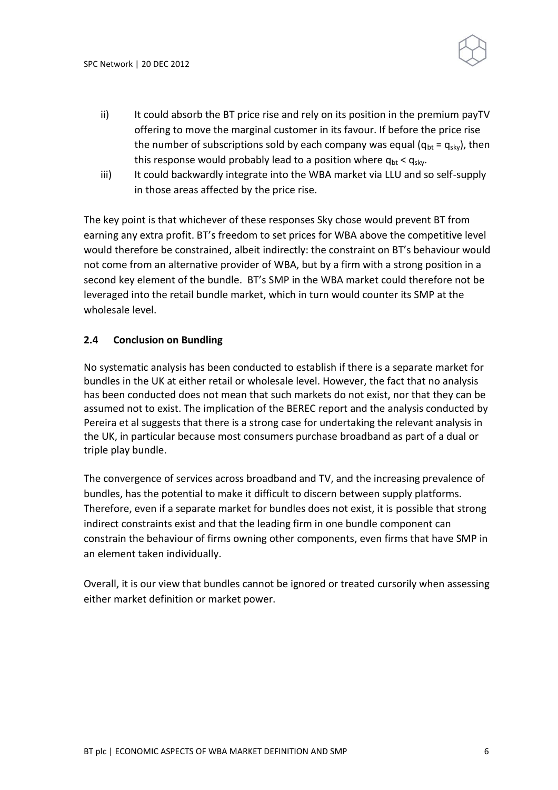

- ii) It could absorb the BT price rise and rely on its position in the premium payTV offering to move the marginal customer in its favour. If before the price rise the number of subscriptions sold by each company was equal ( $q_{bt} = q_{sky}$ ), then this response would probably lead to a position where  $q_{bt} < q_{skv}$ .
- iii) It could backwardly integrate into the WBA market via LLU and so self-supply in those areas affected by the price rise.

The key point is that whichever of these responses Sky chose would prevent BT from earning any extra profit. BT's freedom to set prices for WBA above the competitive level would therefore be constrained, albeit indirectly: the constraint on BT's behaviour would not come from an alternative provider of WBA, but by a firm with a strong position in a second key element of the bundle. BT's SMP in the WBA market could therefore not be leveraged into the retail bundle market, which in turn would counter its SMP at the wholesale level.

# **2.4 Conclusion on Bundling**

No systematic analysis has been conducted to establish if there is a separate market for bundles in the UK at either retail or wholesale level. However, the fact that no analysis has been conducted does not mean that such markets do not exist, nor that they can be assumed not to exist. The implication of the BEREC report and the analysis conducted by Pereira et al suggests that there is a strong case for undertaking the relevant analysis in the UK, in particular because most consumers purchase broadband as part of a dual or triple play bundle.

The convergence of services across broadband and TV, and the increasing prevalence of bundles, has the potential to make it difficult to discern between supply platforms. Therefore, even if a separate market for bundles does not exist, it is possible that strong indirect constraints exist and that the leading firm in one bundle component can constrain the behaviour of firms owning other components, even firms that have SMP in an element taken individually.

Overall, it is our view that bundles cannot be ignored or treated cursorily when assessing either market definition or market power.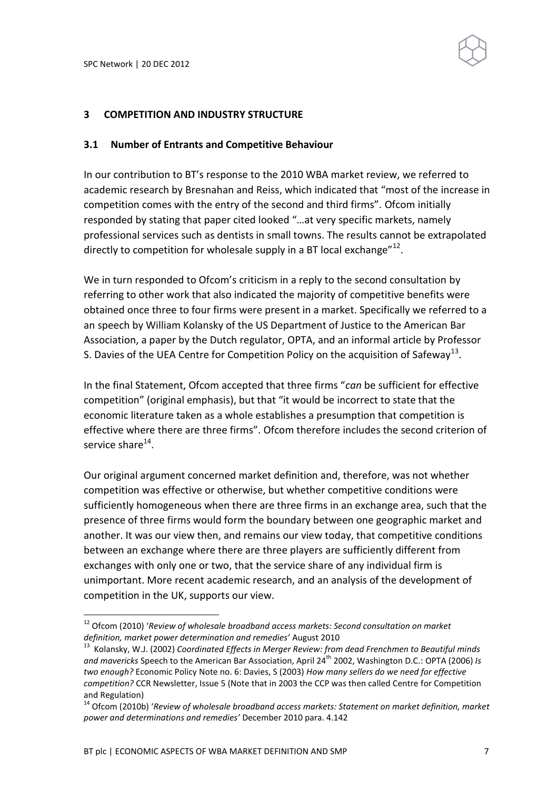### **3 COMPETITION AND INDUSTRY STRUCTURE**

#### **3.1 Number of Entrants and Competitive Behaviour**

In our contribution to BT's response to the 2010 WBA market review, we referred to academic research by Bresnahan and Reiss, which indicated that "most of the increase in competition comes with the entry of the second and third firms". Ofcom initially responded by stating that paper cited looked "…at very specific markets, namely professional services such as dentists in small towns. The results cannot be extrapolated directly to competition for wholesale supply in a BT local exchange" $^{12}$ .

We in turn responded to Ofcom's criticism in a reply to the second consultation by referring to other work that also indicated the majority of competitive benefits were obtained once three to four firms were present in a market. Specifically we referred to a an speech by William Kolansky of the US Department of Justice to the American Bar Association, a paper by the Dutch regulator, OPTA, and an informal article by Professor S. Davies of the UEA Centre for Competition Policy on the acquisition of Safeway<sup>13</sup>.

In the final Statement, Ofcom accepted that three firms "*can* be sufficient for effective competition" (original emphasis), but that "it would be incorrect to state that the economic literature taken as a whole establishes a presumption that competition is effective where there are three firms". Ofcom therefore includes the second criterion of service share $^{14}$ .

Our original argument concerned market definition and, therefore, was not whether competition was effective or otherwise, but whether competitive conditions were sufficiently homogeneous when there are three firms in an exchange area, such that the presence of three firms would form the boundary between one geographic market and another. It was our view then, and remains our view today, that competitive conditions between an exchange where there are three players are sufficiently different from exchanges with only one or two, that the service share of any individual firm is unimportant. More recent academic research, and an analysis of the development of competition in the UK, supports our view.

 $\overline{a}$ 

<sup>12</sup> Ofcom (2010) '*Review of wholesale broadband access markets: Second consultation on market definition, market power determination and remedies'* August 2010

<sup>13</sup> Kolansky, W.J. (2002) *Coordinated Effects in Merger Review: from dead Frenchmen to Beautiful minds and mavericks* Speech to the American Bar Association, April 24th 2002, Washington D.C.: OPTA (2006) *Is two enough?* Economic Policy Note no. 6: Davies, S (2003) *How many sellers do we need for effective competition?* CCR Newsletter, Issue 5 (Note that in 2003 the CCP was then called Centre for Competition and Regulation)

<sup>14</sup> Ofcom (2010b) '*Review of wholesale broadband access markets: Statement on market definition, market power and determinations and remedies'* December 2010 para. 4.142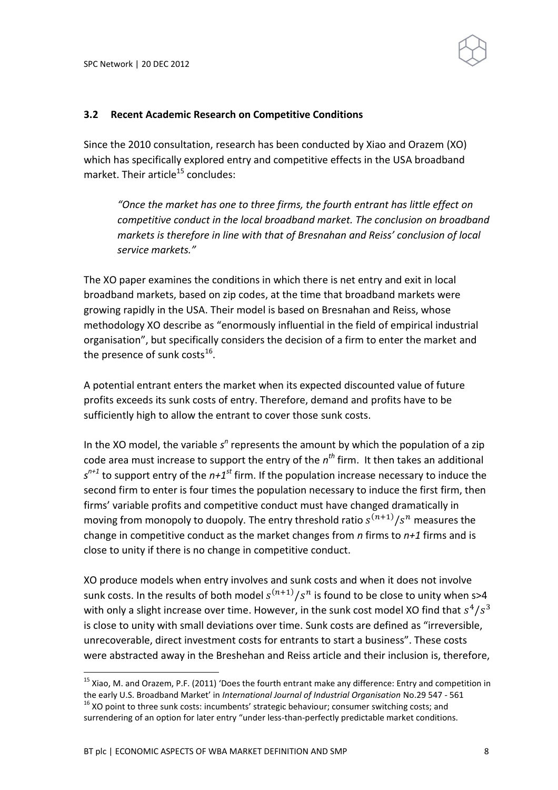

### **3.2 Recent Academic Research on Competitive Conditions**

Since the 2010 consultation, research has been conducted by Xiao and Orazem (XO) which has specifically explored entry and competitive effects in the USA broadband market. Their article<sup>15</sup> concludes:

*"Once the market has one to three firms, the fourth entrant has little effect on competitive conduct in the local broadband market. The conclusion on broadband markets is therefore in line with that of Bresnahan and Reiss' conclusion of local service markets."*

The XO paper examines the conditions in which there is net entry and exit in local broadband markets, based on zip codes, at the time that broadband markets were growing rapidly in the USA. Their model is based on Bresnahan and Reiss, whose methodology XO describe as "enormously influential in the field of empirical industrial organisation", but specifically considers the decision of a firm to enter the market and the presence of sunk costs $^{\rm 16}.$ 

A potential entrant enters the market when its expected discounted value of future profits exceeds its sunk costs of entry. Therefore, demand and profits have to be sufficiently high to allow the entrant to cover those sunk costs.

In the XO model, the variable s<sup>n</sup> represents the amount by which the population of a zip code area must increase to support the entry of the *n<sup>th</sup>* firm. It then takes an additional *s n+1* to support entry of the *n+1st* firm. If the population increase necessary to induce the second firm to enter is four times the population necessary to induce the first firm, then firms' variable profits and competitive conduct must have changed dramatically in moving from monopoly to duopoly. The entry threshold ratio  $s^{(n+1)}/s^n$  measures the change in competitive conduct as the market changes from *n* firms to *n+1* firms and is close to unity if there is no change in competitive conduct.

XO produce models when entry involves and sunk costs and when it does not involve sunk costs. In the results of both model  $s^{(n+1)}/s^n$  is found to be close to unity when s>4 with only a slight increase over time. However, in the sunk cost model XO find that  $s^4/s^3$ is close to unity with small deviations over time. Sunk costs are defined as "irreversible, unrecoverable, direct investment costs for entrants to start a business". These costs were abstracted away in the Breshehan and Reiss article and their inclusion is, therefore,

 $\overline{a}$ 

<sup>&</sup>lt;sup>15</sup> Xiao, M. and Orazem, P.F. (2011) 'Does the fourth entrant make any difference: Entry and competition in the early U.S. Broadband Market' in *International Journal of Industrial Organisation* No.29 547 - 561 <sup>16</sup> XO point to three sunk costs: incumbents' strategic behaviour; consumer switching costs; and surrendering of an option for later entry "under less-than-perfectly predictable market conditions.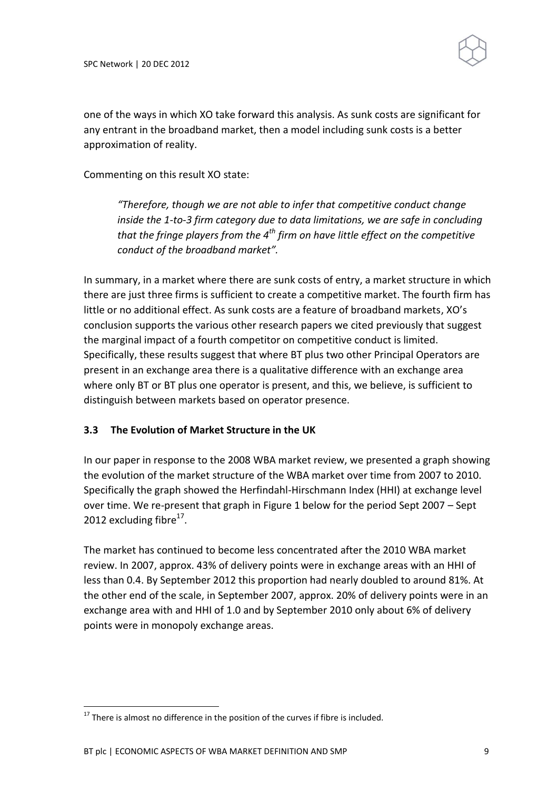

one of the ways in which XO take forward this analysis. As sunk costs are significant for any entrant in the broadband market, then a model including sunk costs is a better approximation of reality.

Commenting on this result XO state:

*"Therefore, though we are not able to infer that competitive conduct change inside the 1-to-3 firm category due to data limitations, we are safe in concluding that the fringe players from the 4th firm on have little effect on the competitive conduct of the broadband market".*

In summary, in a market where there are sunk costs of entry, a market structure in which there are just three firms is sufficient to create a competitive market. The fourth firm has little or no additional effect. As sunk costs are a feature of broadband markets, XO's conclusion supports the various other research papers we cited previously that suggest the marginal impact of a fourth competitor on competitive conduct is limited. Specifically, these results suggest that where BT plus two other Principal Operators are present in an exchange area there is a qualitative difference with an exchange area where only BT or BT plus one operator is present, and this, we believe, is sufficient to distinguish between markets based on operator presence.

# **3.3 The Evolution of Market Structure in the UK**

In our paper in response to the 2008 WBA market review, we presented a graph showing the evolution of the market structure of the WBA market over time from 2007 to 2010. Specifically the graph showed the Herfindahl-Hirschmann Index (HHI) at exchange level over time. We re-present that graph in Figure 1 below for the period Sept 2007 – Sept 2012 excluding fibre $^{17}$ .

The market has continued to become less concentrated after the 2010 WBA market review. In 2007, approx. 43% of delivery points were in exchange areas with an HHI of less than 0.4. By September 2012 this proportion had nearly doubled to around 81%. At the other end of the scale, in September 2007, approx. 20% of delivery points were in an exchange area with and HHI of 1.0 and by September 2010 only about 6% of delivery points were in monopoly exchange areas.

 $17$  There is almost no difference in the position of the curves if fibre is included.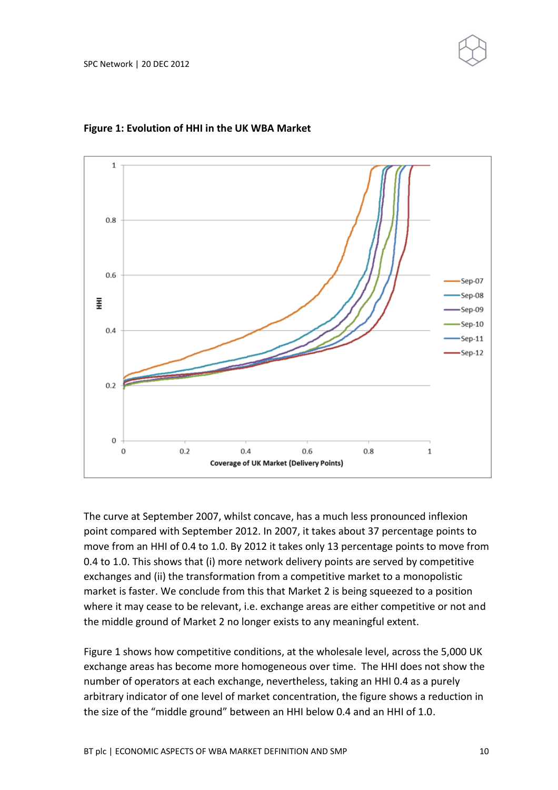

### **Figure 1: Evolution of HHI in the UK WBA Market**

The curve at September 2007, whilst concave, has a much less pronounced inflexion point compared with September 2012. In 2007, it takes about 37 percentage points to move from an HHI of 0.4 to 1.0. By 2012 it takes only 13 percentage points to move from 0.4 to 1.0. This shows that (i) more network delivery points are served by competitive exchanges and (ii) the transformation from a competitive market to a monopolistic market is faster. We conclude from this that Market 2 is being squeezed to a position where it may cease to be relevant, i.e. exchange areas are either competitive or not and the middle ground of Market 2 no longer exists to any meaningful extent.

Figure 1 shows how competitive conditions, at the wholesale level, across the 5,000 UK exchange areas has become more homogeneous over time. The HHI does not show the number of operators at each exchange, nevertheless, taking an HHI 0.4 as a purely arbitrary indicator of one level of market concentration, the figure shows a reduction in the size of the "middle ground" between an HHI below 0.4 and an HHI of 1.0.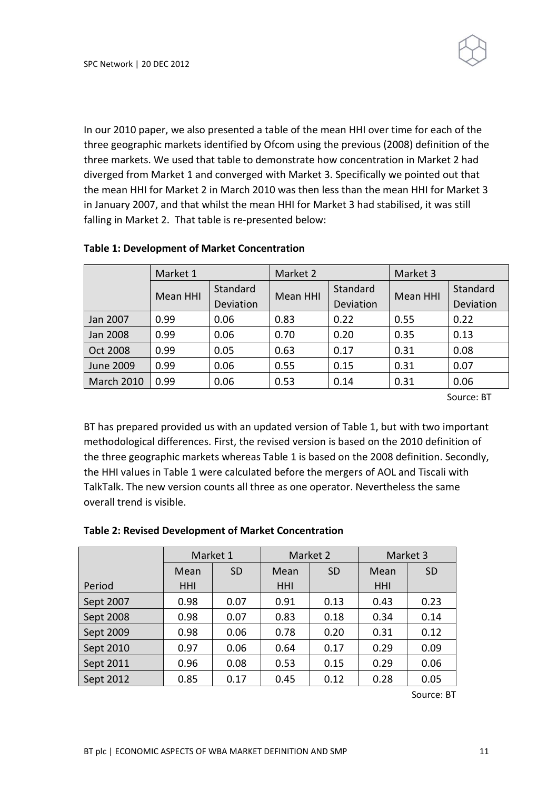

|                   | Market 1 |          | Market 2        |           | Market 3 |           |
|-------------------|----------|----------|-----------------|-----------|----------|-----------|
|                   |          | Standard |                 | Standard  |          | Standard  |
|                   | Mean HHI |          | <b>Mean HHI</b> | Deviation | Mean HHI | Deviation |
| Jan 2007          | 0.99     | 0.06     | 0.83            | 0.22      | 0.55     | 0.22      |
| Jan 2008          | 0.99     | 0.06     | 0.70            | 0.20      | 0.35     | 0.13      |
| Oct 2008          | 0.99     | 0.05     | 0.63            | 0.17      | 0.31     | 0.08      |
| <b>June 2009</b>  | 0.99     | 0.06     | 0.55            | 0.15      | 0.31     | 0.07      |
| <b>March 2010</b> | 0.99     | 0.06     | 0.53            | 0.14      | 0.31     | 0.06      |
|                   |          |          |                 |           |          |           |

#### **Table 1: Development of Market Concentration**

Source: BT

BT has prepared provided us with an updated version of Table 1, but with two important methodological differences. First, the revised version is based on the 2010 definition of the three geographic markets whereas Table 1 is based on the 2008 definition. Secondly, the HHI values in Table 1 were calculated before the mergers of AOL and Tiscali with TalkTalk. The new version counts all three as one operator. Nevertheless the same overall trend is visible.

| <b>Table 2: Revised Development of Market Concentration</b> |
|-------------------------------------------------------------|
|-------------------------------------------------------------|

|           | Market 1 |           | Market 2   |           | Market 3   |           |
|-----------|----------|-----------|------------|-----------|------------|-----------|
|           | Mean     | <b>SD</b> | Mean       | <b>SD</b> | Mean       | <b>SD</b> |
| Period    | HHI      |           | <b>HHI</b> |           | <b>HHI</b> |           |
| Sept 2007 | 0.98     | 0.07      | 0.91       | 0.13      | 0.43       | 0.23      |
| Sept 2008 | 0.98     | 0.07      | 0.83       | 0.18      | 0.34       | 0.14      |
| Sept 2009 | 0.98     | 0.06      | 0.78       | 0.20      | 0.31       | 0.12      |
| Sept 2010 | 0.97     | 0.06      | 0.64       | 0.17      | 0.29       | 0.09      |
| Sept 2011 | 0.96     | 0.08      | 0.53       | 0.15      | 0.29       | 0.06      |
| Sept 2012 | 0.85     | 0.17      | 0.45       | 0.12      | 0.28       | 0.05      |

Source: BT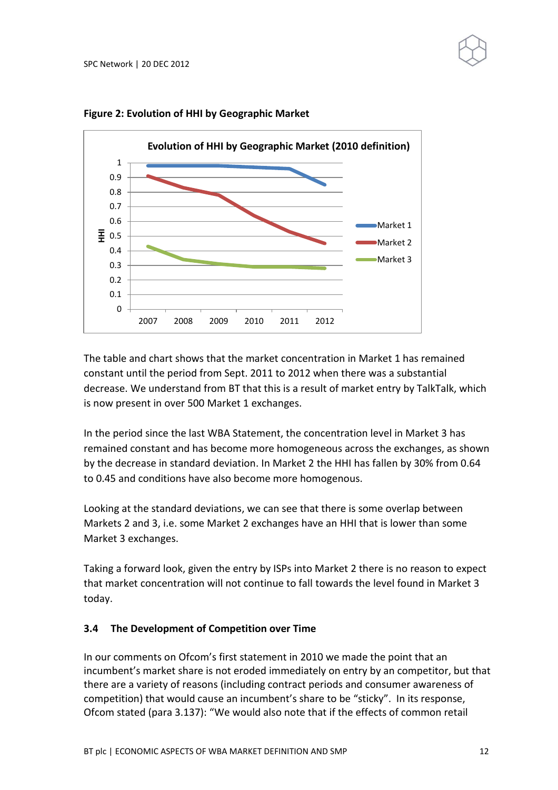

**Figure 2: Evolution of HHI by Geographic Market**

The table and chart shows that the market concentration in Market 1 has remained constant until the period from Sept. 2011 to 2012 when there was a substantial decrease. We understand from BT that this is a result of market entry by TalkTalk, which is now present in over 500 Market 1 exchanges.

In the period since the last WBA Statement, the concentration level in Market 3 has remained constant and has become more homogeneous across the exchanges, as shown by the decrease in standard deviation. In Market 2 the HHI has fallen by 30% from 0.64 to 0.45 and conditions have also become more homogenous.

Looking at the standard deviations, we can see that there is some overlap between Markets 2 and 3, i.e. some Market 2 exchanges have an HHI that is lower than some Market 3 exchanges.

Taking a forward look, given the entry by ISPs into Market 2 there is no reason to expect that market concentration will not continue to fall towards the level found in Market 3 today.

# **3.4 The Development of Competition over Time**

In our comments on Ofcom's first statement in 2010 we made the point that an incumbent's market share is not eroded immediately on entry by an competitor, but that there are a variety of reasons (including contract periods and consumer awareness of competition) that would cause an incumbent's share to be "sticky". In its response, Ofcom stated (para 3.137): "We would also note that if the effects of common retail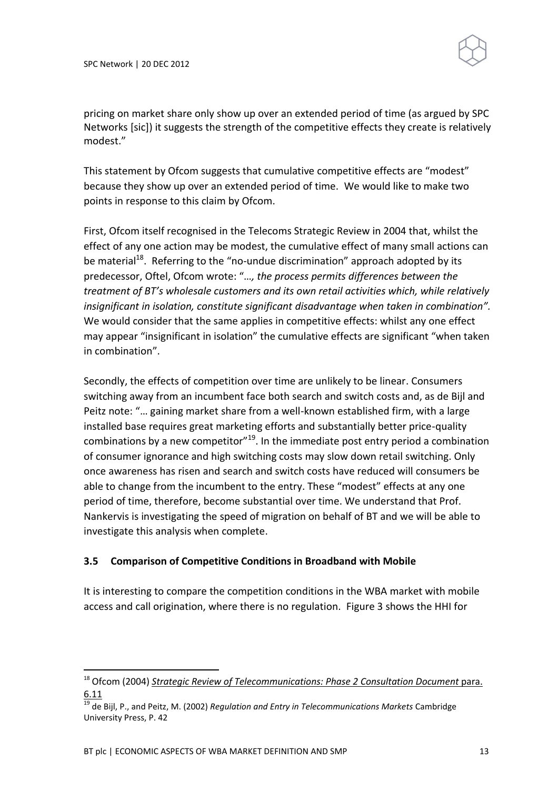

pricing on market share only show up over an extended period of time (as argued by SPC Networks [sic]) it suggests the strength of the competitive effects they create is relatively modest."

This statement by Ofcom suggests that cumulative competitive effects are "modest" because they show up over an extended period of time. We would like to make two points in response to this claim by Ofcom.

First, Ofcom itself recognised in the Telecoms Strategic Review in 2004 that, whilst the effect of any one action may be modest, the cumulative effect of many small actions can be material<sup>18</sup>. Referring to the "no-undue discrimination" approach adopted by its predecessor, Oftel, Ofcom wrote: "…*, the process permits differences between the treatment of BT's wholesale customers and its own retail activities which, while relatively insignificant in isolation, constitute significant disadvantage when taken in combination".* We would consider that the same applies in competitive effects: whilst any one effect may appear "insignificant in isolation" the cumulative effects are significant "when taken in combination".

Secondly, the effects of competition over time are unlikely to be linear. Consumers switching away from an incumbent face both search and switch costs and, as de Bijl and Peitz note: "… gaining market share from a well-known established firm, with a large installed base requires great marketing efforts and substantially better price-quality combinations by a new competitor $n^{19}$ . In the immediate post entry period a combination of consumer ignorance and high switching costs may slow down retail switching. Only once awareness has risen and search and switch costs have reduced will consumers be able to change from the incumbent to the entry. These "modest" effects at any one period of time, therefore, become substantial over time. We understand that Prof. Nankervis is investigating the speed of migration on behalf of BT and we will be able to investigate this analysis when complete.

# **3.5 Comparison of Competitive Conditions in Broadband with Mobile**

It is interesting to compare the competition conditions in the WBA market with mobile access and call origination, where there is no regulation. Figure 3 shows the HHI for

<sup>18</sup> Ofcom (2004) *Strategic Review of Telecommunications: Phase 2 Consultation Document* para. 6.11

<sup>19</sup> de Bijl, P., and Peitz, M. (2002) *Regulation and Entry in Telecommunications Markets* Cambridge University Press, P. 42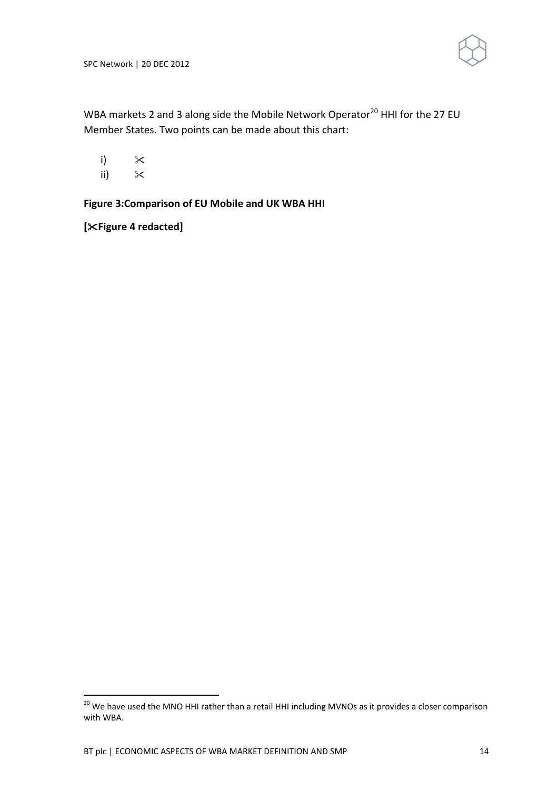

SPC Network | 20 DEC 2012

WBA markets 2 and 3 along side the Mobile Network Operator<sup>20</sup> HHI for the 27 EU Member States. Two points can be made about this chart:

i)  $\times$ 

ii)  $\mathbb{X}$ 

 $\overline{a}$ 

**Figure 3:Comparison of EU Mobile and UK WBA HHI**

**[Figure 4 redacted]**

 $^{20}$  We have used the MNO HHI rather than a retail HHI including MVNOs as it provides a closer comparison with WBA.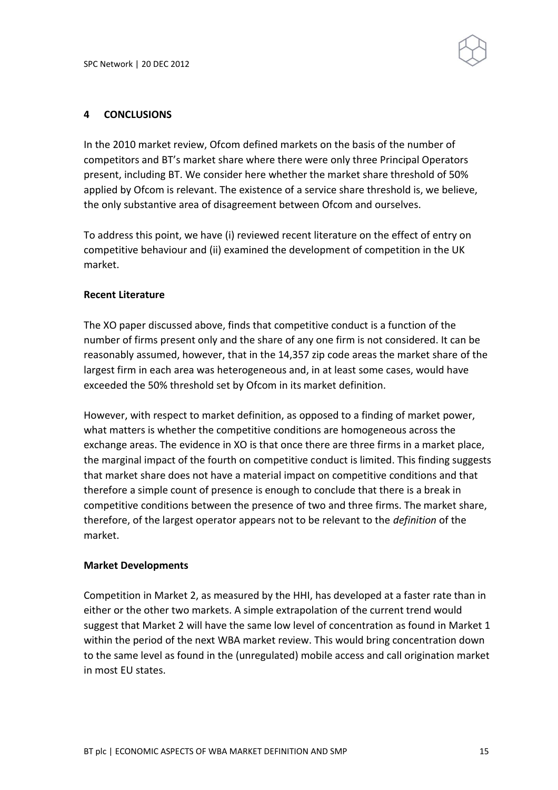### **4 CONCLUSIONS**

In the 2010 market review, Ofcom defined markets on the basis of the number of competitors and BT's market share where there were only three Principal Operators present, including BT. We consider here whether the market share threshold of 50% applied by Ofcom is relevant. The existence of a service share threshold is, we believe, the only substantive area of disagreement between Ofcom and ourselves.

To address this point, we have (i) reviewed recent literature on the effect of entry on competitive behaviour and (ii) examined the development of competition in the UK market.

### **Recent Literature**

The XO paper discussed above, finds that competitive conduct is a function of the number of firms present only and the share of any one firm is not considered. It can be reasonably assumed, however, that in the 14,357 zip code areas the market share of the largest firm in each area was heterogeneous and, in at least some cases, would have exceeded the 50% threshold set by Ofcom in its market definition.

However, with respect to market definition, as opposed to a finding of market power, what matters is whether the competitive conditions are homogeneous across the exchange areas. The evidence in XO is that once there are three firms in a market place, the marginal impact of the fourth on competitive conduct is limited. This finding suggests that market share does not have a material impact on competitive conditions and that therefore a simple count of presence is enough to conclude that there is a break in competitive conditions between the presence of two and three firms. The market share, therefore, of the largest operator appears not to be relevant to the *definition* of the market.

### **Market Developments**

Competition in Market 2, as measured by the HHI, has developed at a faster rate than in either or the other two markets. A simple extrapolation of the current trend would suggest that Market 2 will have the same low level of concentration as found in Market 1 within the period of the next WBA market review. This would bring concentration down to the same level as found in the (unregulated) mobile access and call origination market in most EU states.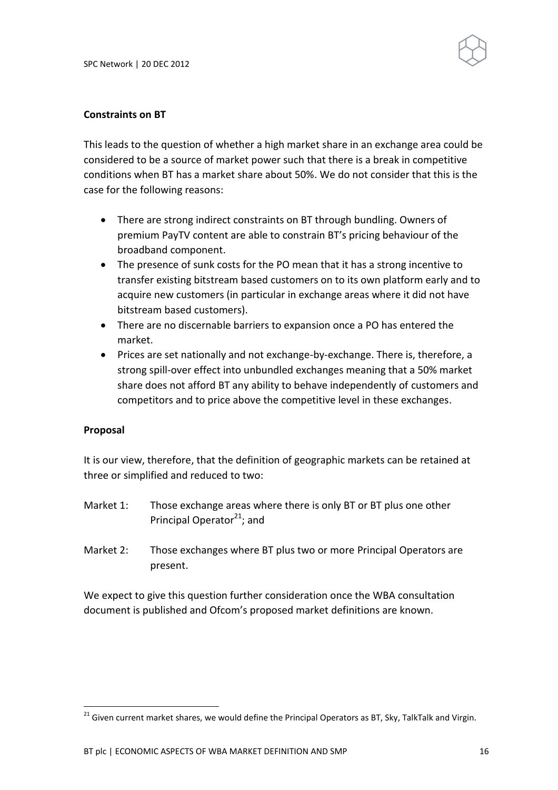### **Constraints on BT**

This leads to the question of whether a high market share in an exchange area could be considered to be a source of market power such that there is a break in competitive conditions when BT has a market share about 50%. We do not consider that this is the case for the following reasons:

- There are strong indirect constraints on BT through bundling. Owners of premium PayTV content are able to constrain BT's pricing behaviour of the broadband component.
- The presence of sunk costs for the PO mean that it has a strong incentive to transfer existing bitstream based customers on to its own platform early and to acquire new customers (in particular in exchange areas where it did not have bitstream based customers).
- There are no discernable barriers to expansion once a PO has entered the market.
- Prices are set nationally and not exchange-by-exchange. There is, therefore, a strong spill-over effect into unbundled exchanges meaning that a 50% market share does not afford BT any ability to behave independently of customers and competitors and to price above the competitive level in these exchanges.

### **Proposal**

l

It is our view, therefore, that the definition of geographic markets can be retained at three or simplified and reduced to two:

- Market 1: Those exchange areas where there is only BT or BT plus one other Principal Operator<sup>21</sup>; and
- Market 2: Those exchanges where BT plus two or more Principal Operators are present.

We expect to give this question further consideration once the WBA consultation document is published and Ofcom's proposed market definitions are known.

 $^{21}$  Given current market shares, we would define the Principal Operators as BT, Sky, TalkTalk and Virgin.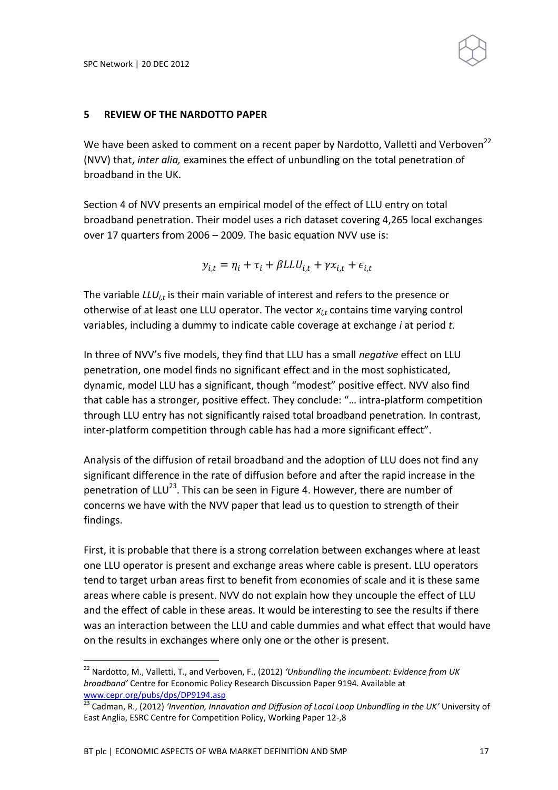

#### **5 REVIEW OF THE NARDOTTO PAPER**

We have been asked to comment on a recent paper by Nardotto, Valletti and Verboven<sup>22</sup> (NVV) that, *inter alia,* examines the effect of unbundling on the total penetration of broadband in the UK.

Section 4 of NVV presents an empirical model of the effect of LLU entry on total broadband penetration. Their model uses a rich dataset covering 4,265 local exchanges over 17 quarters from 2006 – 2009. The basic equation NVV use is:

$$
y_{i,t} = \eta_i + \tau_i + \beta L L U_{i,t} + \gamma x_{i,t} + \epsilon_{i,t}
$$

The variable *LLU<sub>it</sub>* is their main variable of interest and refers to the presence or otherwise of at least one LLU operator. The vector *xi,t* contains time varying control variables, including a dummy to indicate cable coverage at exchange *i* at period *t.*

In three of NVV's five models, they find that LLU has a small *negative* effect on LLU penetration, one model finds no significant effect and in the most sophisticated, dynamic, model LLU has a significant, though "modest" positive effect. NVV also find that cable has a stronger, positive effect. They conclude: "… intra-platform competition through LLU entry has not significantly raised total broadband penetration. In contrast, inter-platform competition through cable has had a more significant effect".

Analysis of the diffusion of retail broadband and the adoption of LLU does not find any significant difference in the rate of diffusion before and after the rapid increase in the penetration of LLU<sup>23</sup>. This can be seen in Figure 4. However, there are number of concerns we have with the NVV paper that lead us to question to strength of their findings.

First, it is probable that there is a strong correlation between exchanges where at least one LLU operator is present and exchange areas where cable is present. LLU operators tend to target urban areas first to benefit from economies of scale and it is these same areas where cable is present. NVV do not explain how they uncouple the effect of LLU and the effect of cable in these areas. It would be interesting to see the results if there was an interaction between the LLU and cable dummies and what effect that would have on the results in exchanges where only one or the other is present.

 $\overline{a}$ 

<sup>22</sup> Nardotto, M., Valletti, T., and Verboven, F., (2012) *'Unbundling the incumbent: Evidence from UK broadband'* Centre for Economic Policy Research Discussion Paper 9194. Available at [www.cepr.org/pubs/dps/DP9194.asp](http://www.cepr.org/pubs/dps/DP9194.asp)

<sup>23</sup> Cadman, R., (2012) *'Invention, Innovation and Diffusion of Local Loop Unbundling in the UK'* University of East Anglia, ESRC Centre for Competition Policy, Working Paper 12-,8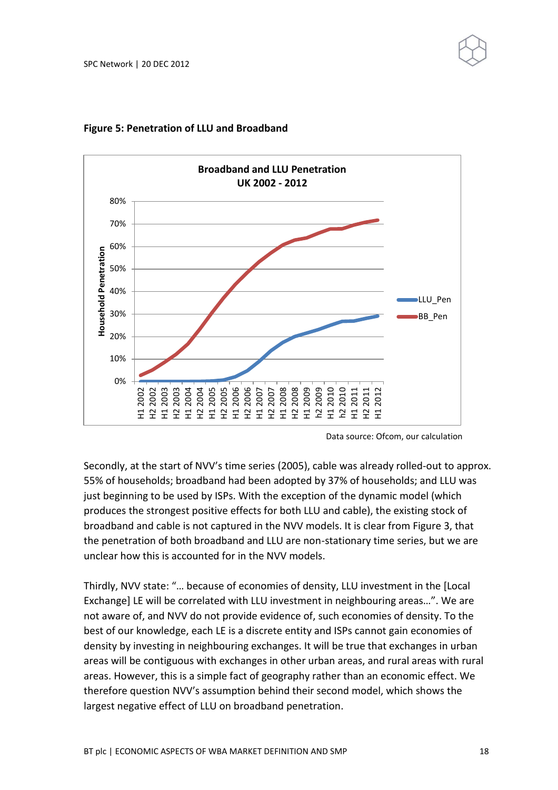

**Figure 5: Penetration of LLU and Broadband**

Data source: Ofcom, our calculation

Secondly, at the start of NVV's time series (2005), cable was already rolled-out to approx. 55% of households; broadband had been adopted by 37% of households; and LLU was just beginning to be used by ISPs. With the exception of the dynamic model (which produces the strongest positive effects for both LLU and cable), the existing stock of broadband and cable is not captured in the NVV models. It is clear from Figure 3, that the penetration of both broadband and LLU are non-stationary time series, but we are unclear how this is accounted for in the NVV models.

Thirdly, NVV state: "… because of economies of density, LLU investment in the [Local Exchange] LE will be correlated with LLU investment in neighbouring areas…". We are not aware of, and NVV do not provide evidence of, such economies of density. To the best of our knowledge, each LE is a discrete entity and ISPs cannot gain economies of density by investing in neighbouring exchanges. It will be true that exchanges in urban areas will be contiguous with exchanges in other urban areas, and rural areas with rural areas. However, this is a simple fact of geography rather than an economic effect. We therefore question NVV's assumption behind their second model, which shows the largest negative effect of LLU on broadband penetration.